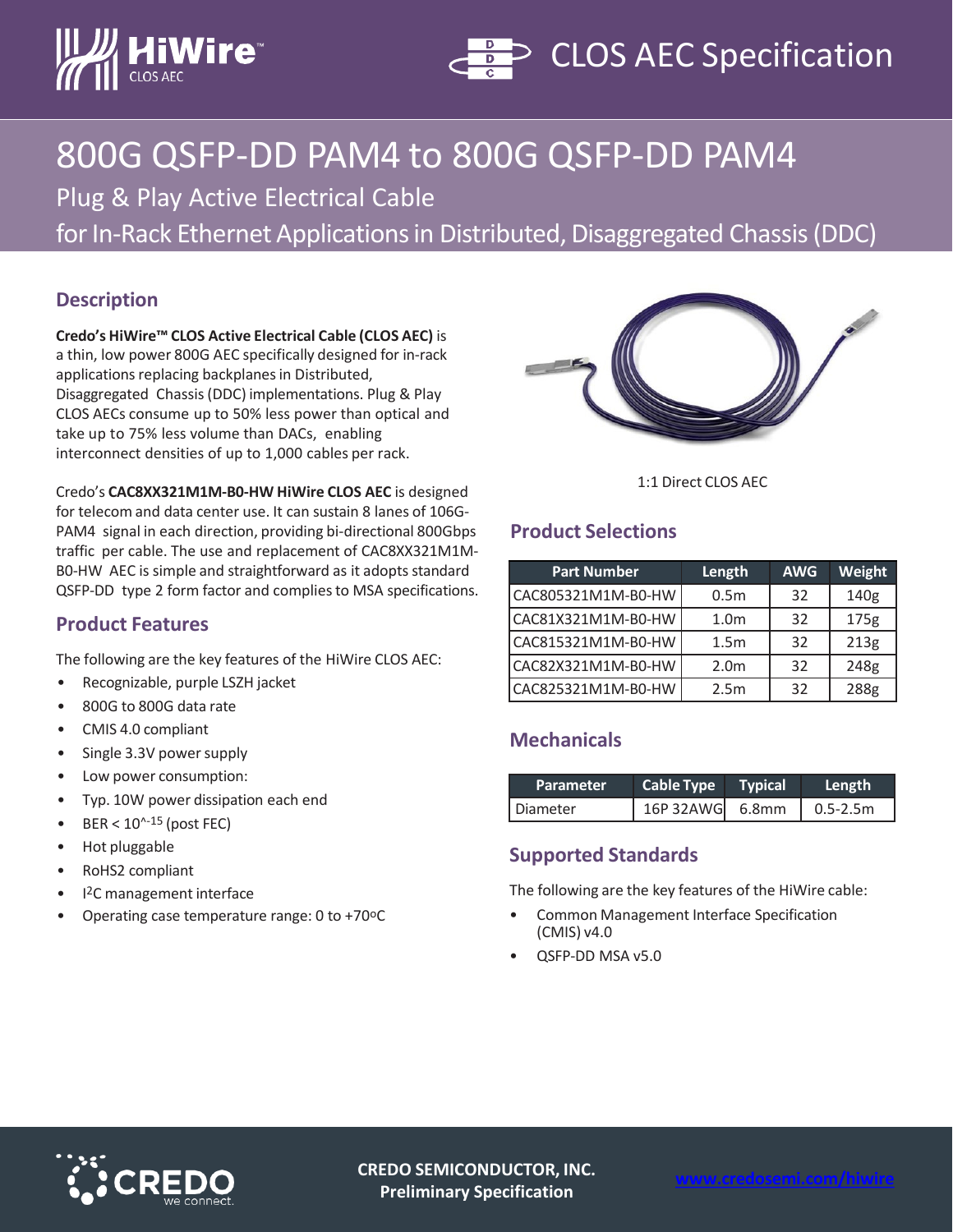



# 800G QSFP-DD PAM4 to 800G QSFP-DD PAM4

Plug & Play Active Electrical Cable

for In-Rack Ethernet Applications in Distributed, Disaggregated Chassis (DDC)

### **Description**

**Credo's HiWire™ CLOS Active Electrical Cable (CLOS AEC)** is a thin, low power 800G AEC specifically designed for in-rack applications replacing backplanes in Distributed, Disaggregated Chassis (DDC) implementations. Plug & Play CLOS AECs consume up to 50% less power than optical and take up to 75% less volume than DACs, enabling interconnect densities of up to 1,000 cables per rack.



1:1 Direct CLOS AEC

# **Product Selections**

| <b>Part Number</b> | Length           | <b>AWG</b> | Weight           |
|--------------------|------------------|------------|------------------|
| CAC805321M1M-B0-HW | 0.5 <sub>m</sub> | 32         | 140g             |
| CAC81X321M1M-B0-HW | 1.0 <sub>m</sub> | 32         | 175 <sub>g</sub> |
| CAC815321M1M-B0-HW | 1.5 <sub>m</sub> | 32         | 213g             |
| CAC82X321M1M-B0-HW | 2.0 <sub>m</sub> | 32         | 248g             |
| CAC825321M1M-B0-HW | 2.5 <sub>m</sub> | 32         | 288g             |

## **Mechanicals**

| <b>Parameter</b> | <b>Cable Type</b> Typical | Length           |
|------------------|---------------------------|------------------|
| Diameter         | 16P 32AWG 6.8mm           | $\big $ 0.5-2.5m |

#### **Supported Standards**

The following are the key features of the HiWire cable:

- Common Management Interface Specification (CMIS) v4.0
- QSFP-DD MSA v5.0

Credo's **CAC8XX321M1M-B0-HW HiWire CLOS AEC** is designed for telecom and data center use. It can sustain 8 lanes of 106G-PAM4 signal in each direction, providing bi-directional 800Gbps traffic per cable. The use and replacement of CAC8XX321M1M-B0-HW AEC is simple and straightforward as it adopts standard QSFP-DD type 2 form factor and complies to MSA specifications.

#### **Product Features**

The following are the key features of the HiWire CLOS AEC:

- Recognizable, purple LSZH jacket
- 800G to 800G data rate
- CMIS 4.0 compliant
- Single 3.3V power supply
- Low power consumption:
- Typ. 10W power dissipation each end
- $BER < 10^{\text{A}-15}$  (post FEC)
- Hot pluggable
- RoHS2 compliant
- I2C management interface
- Operating case temperature range: 0 to +70°C



**CREDO SEMICONDUCTOR, INC. Preliminary Specification**